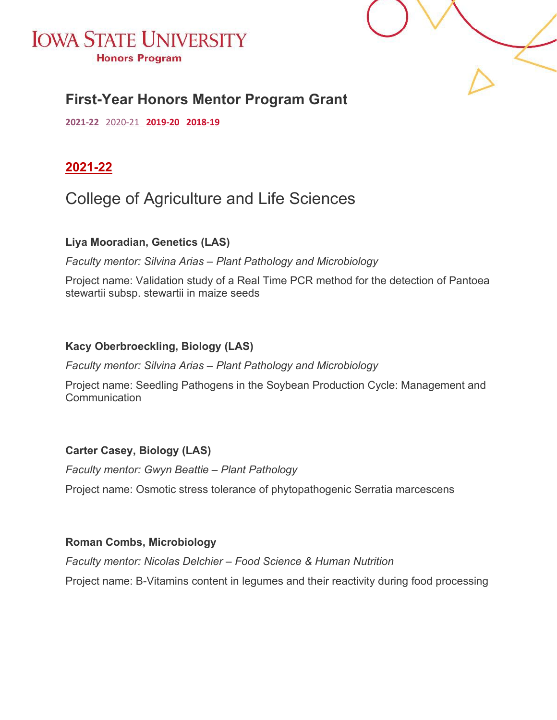



### **First-Year Honors Mentor Program Grant**

<span id="page-0-0"></span>**[2021-22](#page-0-0)** [2020-21](#page-9-0) **[2019-20](#page-16-0) [2018-19](#page-26-0)**

#### **2021-22**

### College of Agriculture and Life Sciences

#### **Liya Mooradian, Genetics (LAS)**

*Faculty mentor: Silvina Arias – Plant Pathology and Microbiology*

Project name: Validation study of a Real Time PCR method for the detection of Pantoea stewartii subsp. stewartii in maize seeds

#### **Kacy Oberbroeckling, Biology (LAS)**

*Faculty mentor: Silvina Arias – Plant Pathology and Microbiology*

Project name: Seedling Pathogens in the Soybean Production Cycle: Management and **Communication** 

#### **Carter Casey, Biology (LAS)**

*Faculty mentor: Gwyn Beattie – Plant Pathology*

Project name: Osmotic stress tolerance of phytopathogenic Serratia marcescens

#### **Roman Combs, Microbiology**

*Faculty mentor: Nicolas Delchier – Food Science & Human Nutrition*

Project name: B-Vitamins content in legumes and their reactivity during food processing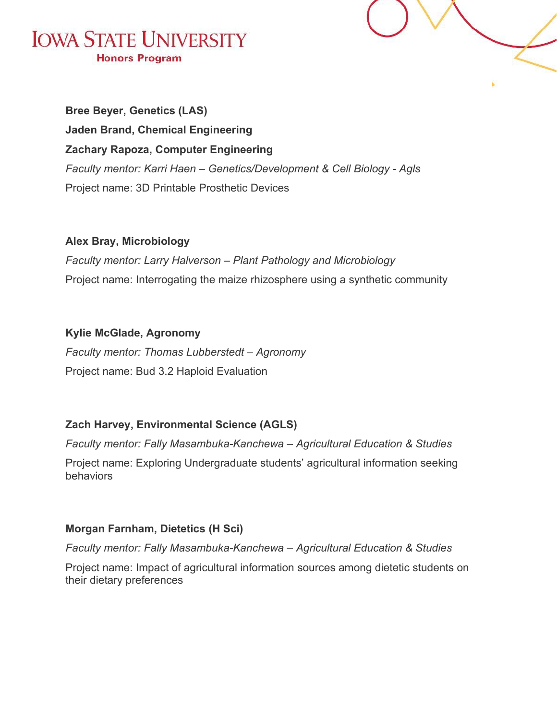



**Bree Beyer, Genetics (LAS) Jaden Brand, Chemical Engineering Zachary Rapoza, Computer Engineering** *Faculty mentor: Karri Haen – Genetics/Development & Cell Biology - Agls* Project name: 3D Printable Prosthetic Devices

#### **Alex Bray, Microbiology**

*Faculty mentor: Larry Halverson – Plant Pathology and Microbiology* Project name: Interrogating the maize rhizosphere using a synthetic community

#### **Kylie McGlade, Agronomy**

*Faculty mentor: Thomas Lubberstedt – Agronomy* Project name: Bud 3.2 Haploid Evaluation

#### **Zach Harvey, Environmental Science (AGLS)**

*Faculty mentor: Fally Masambuka-Kanchewa – Agricultural Education & Studies*

Project name: Exploring Undergraduate students' agricultural information seeking behaviors

#### **Morgan Farnham, Dietetics (H Sci)**

*Faculty mentor: Fally Masambuka-Kanchewa – Agricultural Education & Studies*

Project name: Impact of agricultural information sources among dietetic students on their dietary preferences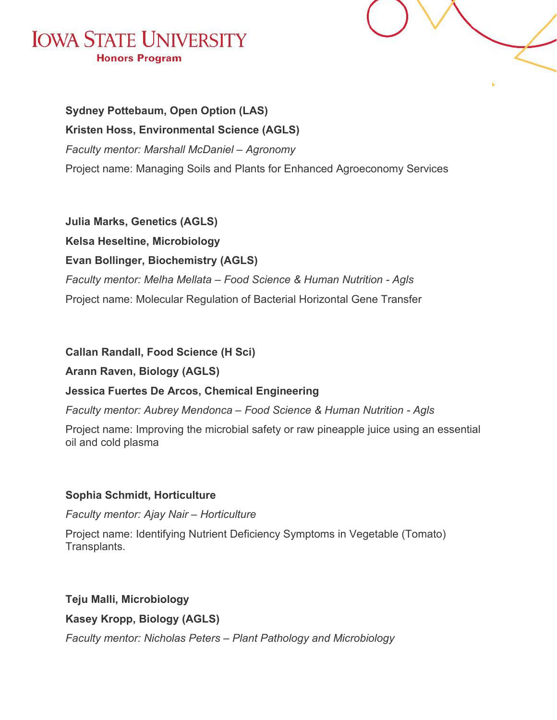

**Sydney Pottebaum, Open Option (LAS) Kristen Hoss, Environmental Science (AGLS)** *Faculty mentor: Marshall McDaniel – Agronomy* Project name: Managing Soils and Plants for Enhanced Agroeconomy Services

**Julia Marks, Genetics (AGLS) Kelsa Heseltine, Microbiology Evan Bollinger, Biochemistry (AGLS)** *Faculty mentor: Melha Mellata – Food Science & Human Nutrition - Agls* Project name: Molecular Regulation of Bacterial Horizontal Gene Transfer

**Callan Randall, Food Science (H Sci)**

#### **Arann Raven, Biology (AGLS)**

#### **Jessica Fuertes De Arcos, Chemical Engineering**

*Faculty mentor: Aubrey Mendonca – Food Science & Human Nutrition - Agls*

Project name: Improving the microbial safety or raw pineapple juice using an essential oil and cold plasma

#### **Sophia Schmidt, Horticulture**

*Faculty mentor: Ajay Nair – Horticulture*

Project name: Identifying Nutrient Deficiency Symptoms in Vegetable (Tomato) Transplants.

#### **Teju Malli, Microbiology**

**Kasey Kropp, Biology (AGLS)**

*Faculty mentor: Nicholas Peters – Plant Pathology and Microbiology*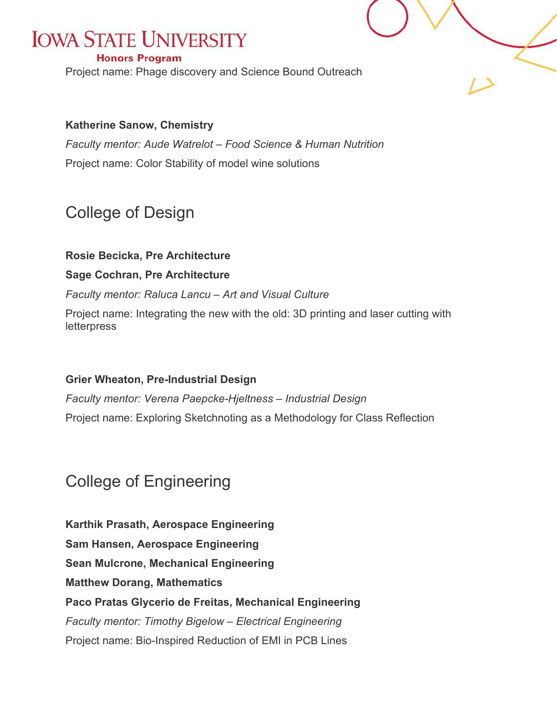#### **Honors Program**

Project name: Phage discovery and Science Bound Outreach

#### **Katherine Sanow, Chemistry**

*Faculty mentor: Aude Watrelot – Food Science & Human Nutrition* Project name: Color Stability of model wine solutions

### College of Design

#### **Rosie Becicka, Pre Architecture**

#### **Sage Cochran, Pre Architecture**

#### *Faculty mentor: Raluca Lancu – Art and Visual Culture*

Project name: Integrating the new with the old: 3D printing and laser cutting with letterpress

#### **Grier Wheaton, Pre-Industrial Design**

*Faculty mentor: Verena Paepcke-Hjeltness – Industrial Design* Project name: Exploring Sketchnoting as a Methodology for Class Reflection

### College of Engineering

**Karthik Prasath, Aerospace Engineering Sam Hansen, Aerospace Engineering Sean Mulcrone, Mechanical Engineering Matthew Dorang, Mathematics Paco Pratas Glycerio de Freitas, Mechanical Engineering** *Faculty mentor: Timothy Bigelow – Electrical Engineering* Project name: Bio-Inspired Reduction of EMI in PCB Lines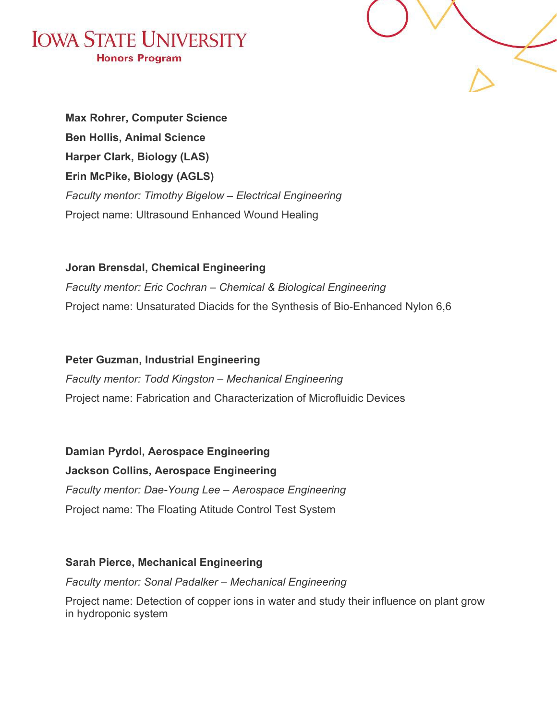



**Max Rohrer, Computer Science Ben Hollis, Animal Science Harper Clark, Biology (LAS) Erin McPike, Biology (AGLS)** *Faculty mentor: Timothy Bigelow – Electrical Engineering* Project name: Ultrasound Enhanced Wound Healing

**Joran Brensdal, Chemical Engineering** *Faculty mentor: Eric Cochran – Chemical & Biological Engineering* Project name: Unsaturated Diacids for the Synthesis of Bio-Enhanced Nylon 6,6

**Peter Guzman, Industrial Engineering** *Faculty mentor: Todd Kingston – Mechanical Engineering* Project name: Fabrication and Characterization of Microfluidic Devices

**Damian Pyrdol, Aerospace Engineering Jackson Collins, Aerospace Engineering** *Faculty mentor: Dae-Young Lee – Aerospace Engineering* Project name: The Floating Atitude Control Test System

**Sarah Pierce, Mechanical Engineering** *Faculty mentor: Sonal Padalker – Mechanical Engineering* Project name: Detection of copper ions in water and study their influence on plant grow in hydroponic system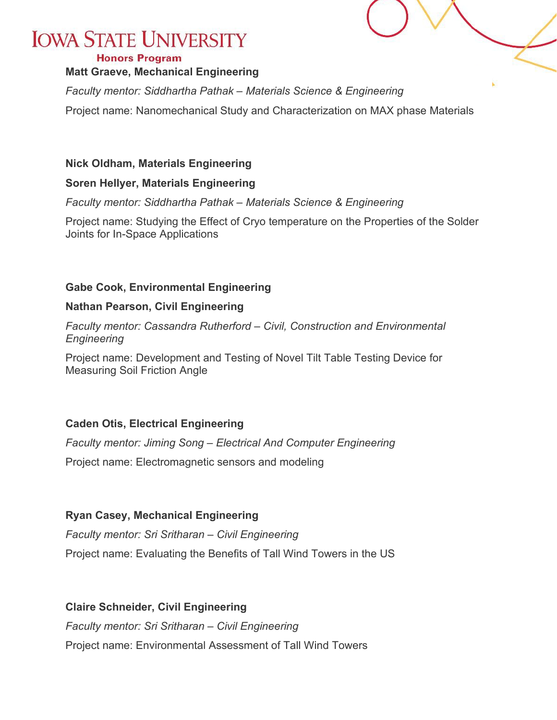#### **Honors Program**

#### **Matt Graeve, Mechanical Engineering**

*Faculty mentor: Siddhartha Pathak – Materials Science & Engineering*

Project name: Nanomechanical Study and Characterization on MAX phase Materials

#### **Nick Oldham, Materials Engineering**

#### **Soren Hellyer, Materials Engineering**

*Faculty mentor: Siddhartha Pathak – Materials Science & Engineering*

Project name: Studying the Effect of Cryo temperature on the Properties of the Solder Joints for In-Space Applications

#### **Gabe Cook, Environmental Engineering**

#### **Nathan Pearson, Civil Engineering**

*Faculty mentor: Cassandra Rutherford – Civil, Construction and Environmental Engineering*

Project name: Development and Testing of Novel Tilt Table Testing Device for Measuring Soil Friction Angle

#### **Caden Otis, Electrical Engineering**

*Faculty mentor: Jiming Song – Electrical And Computer Engineering* Project name: Electromagnetic sensors and modeling

#### **Ryan Casey, Mechanical Engineering**

*Faculty mentor: Sri Sritharan – Civil Engineering* Project name: Evaluating the Benefits of Tall Wind Towers in the US

#### **Claire Schneider, Civil Engineering**

*Faculty mentor: Sri Sritharan – Civil Engineering* Project name: Environmental Assessment of Tall Wind Towers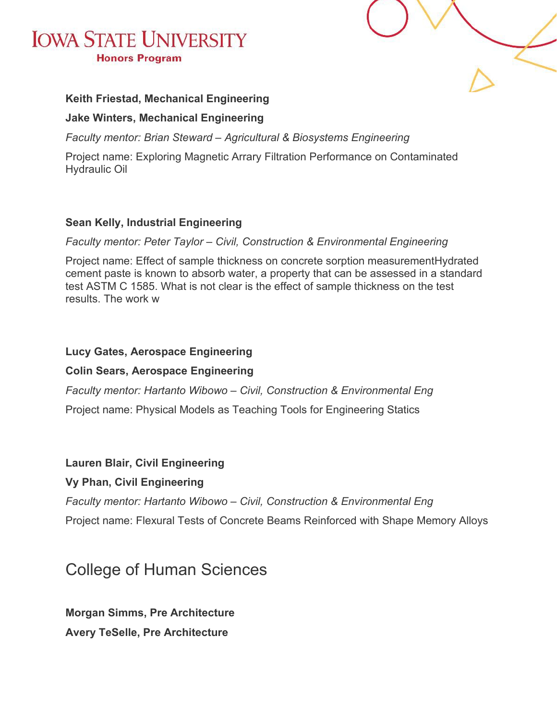



#### **Keith Friestad, Mechanical Engineering**

#### **Jake Winters, Mechanical Engineering**

*Faculty mentor: Brian Steward – Agricultural & Biosystems Engineering*

Project name: Exploring Magnetic Arrary Filtration Performance on Contaminated Hydraulic Oil

#### **Sean Kelly, Industrial Engineering**

*Faculty mentor: Peter Taylor – Civil, Construction & Environmental Engineering*

Project name: Effect of sample thickness on concrete sorption measurementHydrated cement paste is known to absorb water, a property that can be assessed in a standard test ASTM C 1585. What is not clear is the effect of sample thickness on the test results. The work w

#### **Lucy Gates, Aerospace Engineering**

#### **Colin Sears, Aerospace Engineering**

*Faculty mentor: Hartanto Wibowo – Civil, Construction & Environmental Eng*

Project name: Physical Models as Teaching Tools for Engineering Statics

#### **Lauren Blair, Civil Engineering**

#### **Vy Phan, Civil Engineering**

*Faculty mentor: Hartanto Wibowo – Civil, Construction & Environmental Eng*

Project name: Flexural Tests of Concrete Beams Reinforced with Shape Memory Alloys

### College of Human Sciences

**Morgan Simms, Pre Architecture Avery TeSelle, Pre Architecture**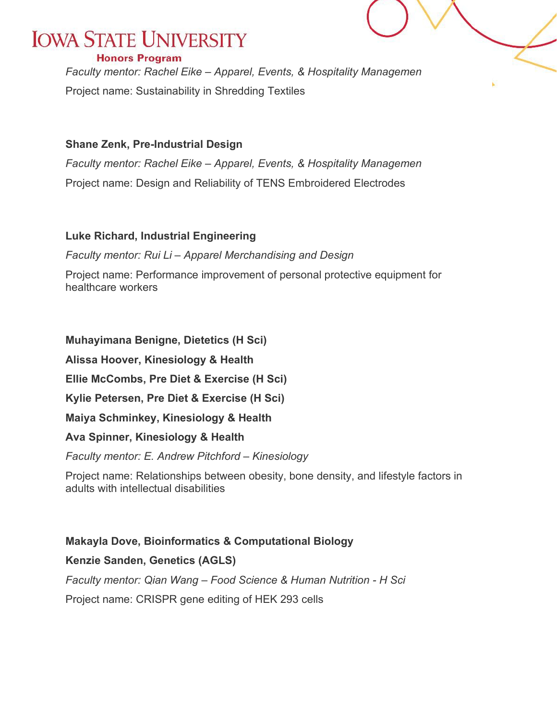#### **Honors Program**

*Faculty mentor: Rachel Eike – Apparel, Events, & Hospitality Managemen* Project name: Sustainability in Shredding Textiles

#### **Shane Zenk, Pre-Industrial Design**

*Faculty mentor: Rachel Eike – Apparel, Events, & Hospitality Managemen* Project name: Design and Reliability of TENS Embroidered Electrodes

#### **Luke Richard, Industrial Engineering**

*Faculty mentor: Rui Li – Apparel Merchandising and Design*

Project name: Performance improvement of personal protective equipment for healthcare workers

**Muhayimana Benigne, Dietetics (H Sci)**

**Alissa Hoover, Kinesiology & Health**

**Ellie McCombs, Pre Diet & Exercise (H Sci)**

**Kylie Petersen, Pre Diet & Exercise (H Sci)**

**Maiya Schminkey, Kinesiology & Health**

**Ava Spinner, Kinesiology & Health**

*Faculty mentor: E. Andrew Pitchford – Kinesiology*

Project name: Relationships between obesity, bone density, and lifestyle factors in adults with intellectual disabilities

#### **Makayla Dove, Bioinformatics & Computational Biology**

#### **Kenzie Sanden, Genetics (AGLS)**

*Faculty mentor: Qian Wang – Food Science & Human Nutrition - H Sci* Project name: CRISPR gene editing of HEK 293 cells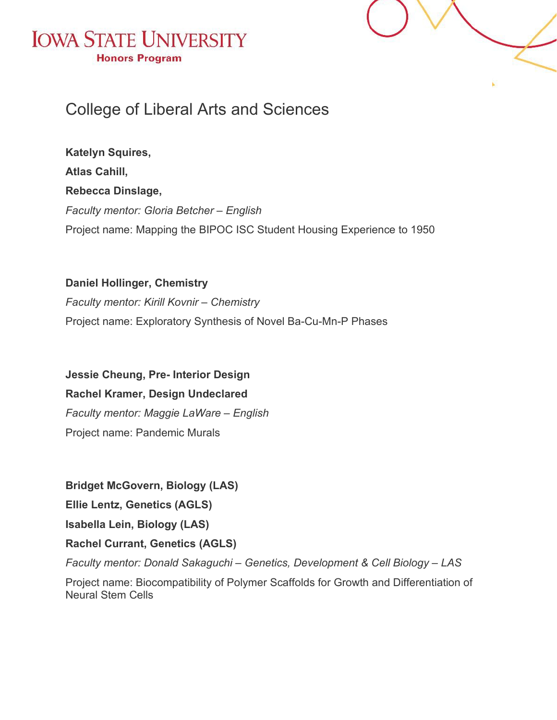



### College of Liberal Arts and Sciences

**Katelyn Squires, Atlas Cahill, Rebecca Dinslage,** *Faculty mentor: Gloria Betcher – English* Project name: Mapping the BIPOC ISC Student Housing Experience to 1950

**Daniel Hollinger, Chemistry** *Faculty mentor: Kirill Kovnir – Chemistry* Project name: Exploratory Synthesis of Novel Ba-Cu-Mn-P Phases

**Jessie Cheung, Pre- Interior Design Rachel Kramer, Design Undeclared** *Faculty mentor: Maggie LaWare – English* Project name: Pandemic Murals

**Bridget McGovern, Biology (LAS) Ellie Lentz, Genetics (AGLS) Isabella Lein, Biology (LAS) Rachel Currant, Genetics (AGLS)** *Faculty mentor: Donald Sakaguchi – Genetics, Development & Cell Biology – LAS*

Project name: Biocompatibility of Polymer Scaffolds for Growth and Differentiation of Neural Stem Cells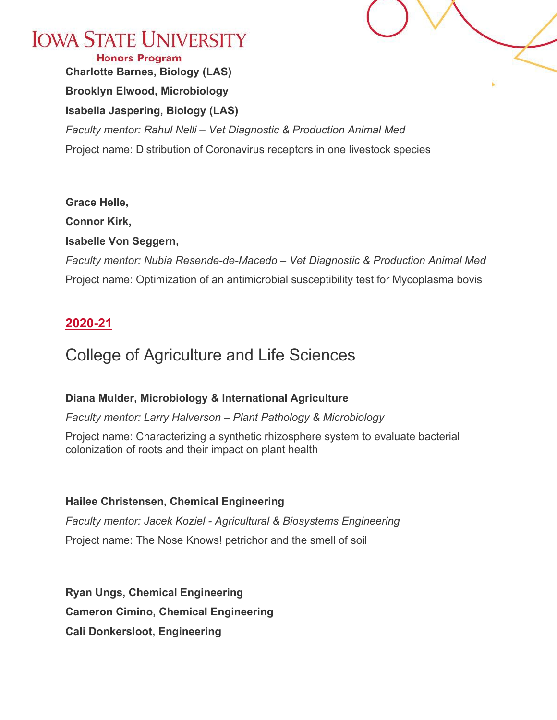

**Honors Program Charlotte Barnes, Biology (LAS) Brooklyn Elwood, Microbiology Isabella Jaspering, Biology (LAS)** *Faculty mentor: Rahul Nelli – Vet Diagnostic & Production Animal Med* Project name: Distribution of Coronavirus receptors in one livestock species

#### **Grace Helle,**

**Connor Kirk,**

#### **Isabelle Von Seggern,**

*Faculty mentor: Nubia Resende-de-Macedo – Vet Diagnostic & Production Animal Med* Project name: Optimization of an antimicrobial susceptibility test for Mycoplasma bovis

#### <span id="page-9-0"></span>**2020-21**

### College of Agriculture and Life Sciences

#### **Diana Mulder, Microbiology & International Agriculture**

*Faculty mentor: Larry Halverson – Plant Pathology & Microbiology*

Project name: Characterizing a synthetic rhizosphere system to evaluate bacterial colonization of roots and their impact on plant health

#### **Hailee Christensen, Chemical Engineering**

*Faculty mentor: Jacek Koziel - Agricultural & Biosystems Engineering* Project name: The Nose Knows! petrichor and the smell of soil

**Ryan Ungs, Chemical Engineering Cameron Cimino, Chemical Engineering Cali Donkersloot, Engineering**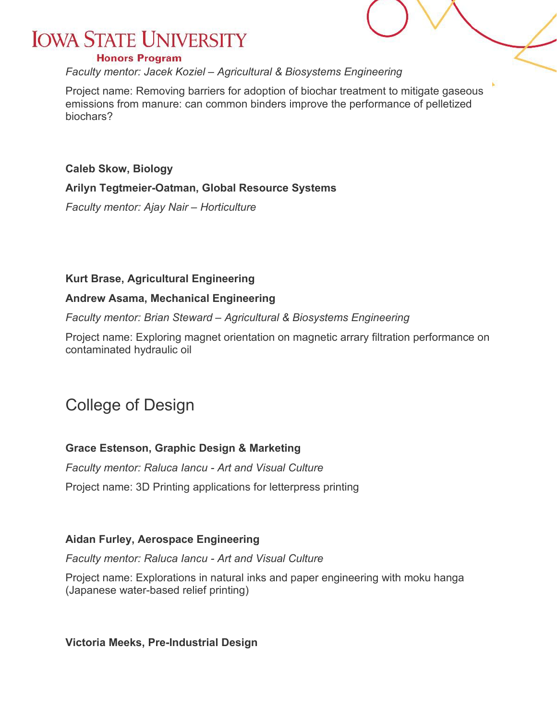#### **Honors Program**

*Faculty mentor: Jacek Koziel – Agricultural & Biosystems Engineering*

Project name: Removing barriers for adoption of biochar treatment to mitigate gaseous emissions from manure: can common binders improve the performance of pelletized biochars?

**Caleb Skow, Biology Arilyn Tegtmeier-Oatman, Global Resource Systems** *Faculty mentor: Ajay Nair – Horticulture*

#### **Kurt Brase, Agricultural Engineering**

#### **Andrew Asama, Mechanical Engineering**

*Faculty mentor: Brian Steward – Agricultural & Biosystems Engineering*

Project name: Exploring magnet orientation on magnetic arrary filtration performance on contaminated hydraulic oil

### College of Design

#### **Grace Estenson, Graphic Design & Marketing**

*Faculty mentor: Raluca Iancu - Art and Visual Culture*

Project name: 3D Printing applications for letterpress printing

#### **Aidan Furley, Aerospace Engineering**

*Faculty mentor: Raluca Iancu - Art and Visual Culture*

Project name: Explorations in natural inks and paper engineering with moku hanga (Japanese water-based relief printing)

**Victoria Meeks, Pre-Industrial Design**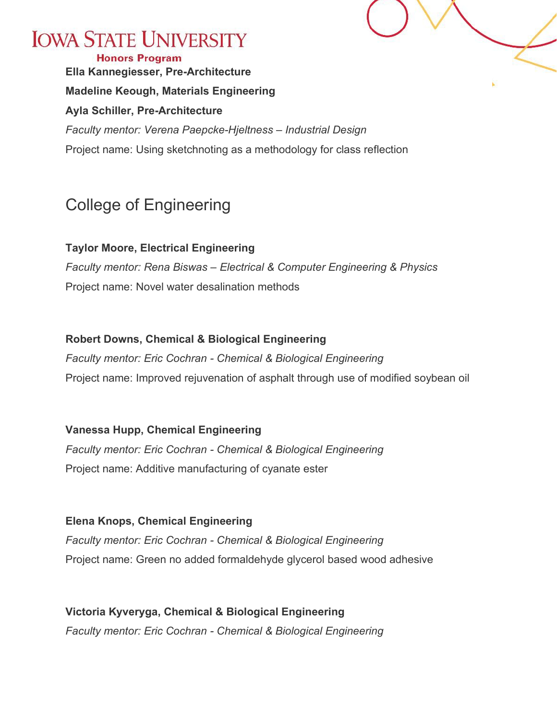

Project name: Using sketchnoting as a methodology for class reflection

### College of Engineering

**Taylor Moore, Electrical Engineering** *Faculty mentor: Rena Biswas – Electrical & Computer Engineering & Physics* Project name: Novel water desalination methods

#### **Robert Downs, Chemical & Biological Engineering**

*Faculty mentor: Eric Cochran - Chemical & Biological Engineering* Project name: Improved rejuvenation of asphalt through use of modified soybean oil

**Vanessa Hupp, Chemical Engineering**

*Faculty mentor: Eric Cochran - Chemical & Biological Engineering* Project name: Additive manufacturing of cyanate ester

**Elena Knops, Chemical Engineering** *Faculty mentor: Eric Cochran - Chemical & Biological Engineering* Project name: Green no added formaldehyde glycerol based wood adhesive

**Victoria Kyveryga, Chemical & Biological Engineering** *Faculty mentor: Eric Cochran - Chemical & Biological Engineering*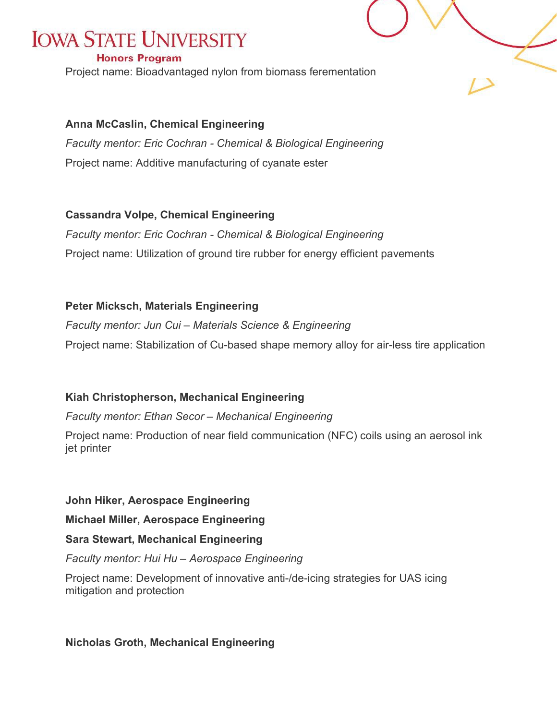#### **Honors Program**

Project name: Bioadvantaged nylon from biomass ferementation

#### **Anna McCaslin, Chemical Engineering**

*Faculty mentor: Eric Cochran - Chemical & Biological Engineering* Project name: Additive manufacturing of cyanate ester

#### **Cassandra Volpe, Chemical Engineering**

*Faculty mentor: Eric Cochran - Chemical & Biological Engineering* Project name: Utilization of ground tire rubber for energy efficient pavements

#### **Peter Micksch, Materials Engineering**

*Faculty mentor: Jun Cui – Materials Science & Engineering* Project name: Stabilization of Cu-based shape memory alloy for air-less tire application

#### **Kiah Christopherson, Mechanical Engineering**

*Faculty mentor: Ethan Secor – Mechanical Engineering*

Project name: Production of near field communication (NFC) coils using an aerosol ink jet printer

**John Hiker, Aerospace Engineering**

**Michael Miller, Aerospace Engineering**

#### **Sara Stewart, Mechanical Engineering**

#### *Faculty mentor: Hui Hu – Aerospace Engineering*

Project name: Development of innovative anti-/de-icing strategies for UAS icing mitigation and protection

#### **Nicholas Groth, Mechanical Engineering**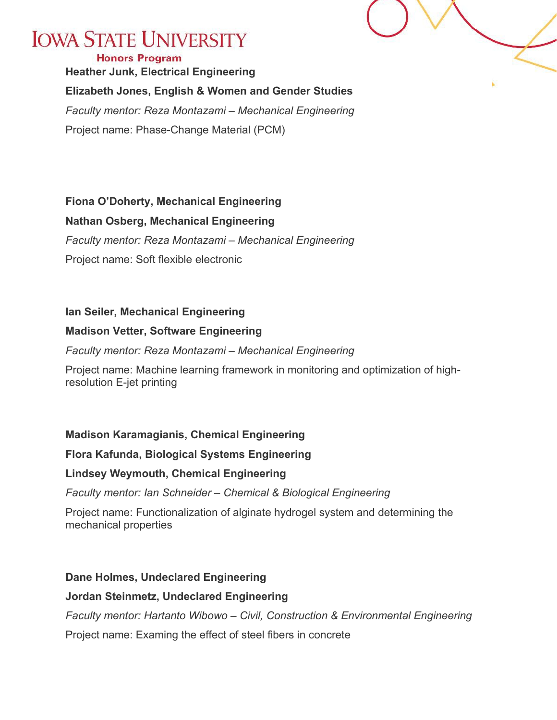#### **Honors Program**

**Heather Junk, Electrical Engineering Elizabeth Jones, English & Women and Gender Studies**

*Faculty mentor: Reza Montazami – Mechanical Engineering* Project name: Phase-Change Material (PCM)

#### **Fiona O'Doherty, Mechanical Engineering**

#### **Nathan Osberg, Mechanical Engineering**

*Faculty mentor: Reza Montazami – Mechanical Engineering*

Project name: Soft flexible electronic

#### **Ian Seiler, Mechanical Engineering**

#### **Madison Vetter, Software Engineering**

*Faculty mentor: Reza Montazami – Mechanical Engineering*

Project name: Machine learning framework in monitoring and optimization of highresolution E-jet printing

#### **Madison Karamagianis, Chemical Engineering**

#### **Flora Kafunda, Biological Systems Engineering**

#### **Lindsey Weymouth, Chemical Engineering**

*Faculty mentor: Ian Schneider – Chemical & Biological Engineering*

Project name: Functionalization of alginate hydrogel system and determining the mechanical properties

#### **Dane Holmes, Undeclared Engineering**

#### **Jordan Steinmetz, Undeclared Engineering**

*Faculty mentor: Hartanto Wibowo – Civil, Construction & Environmental Engineering*

Project name: Examing the effect of steel fibers in concrete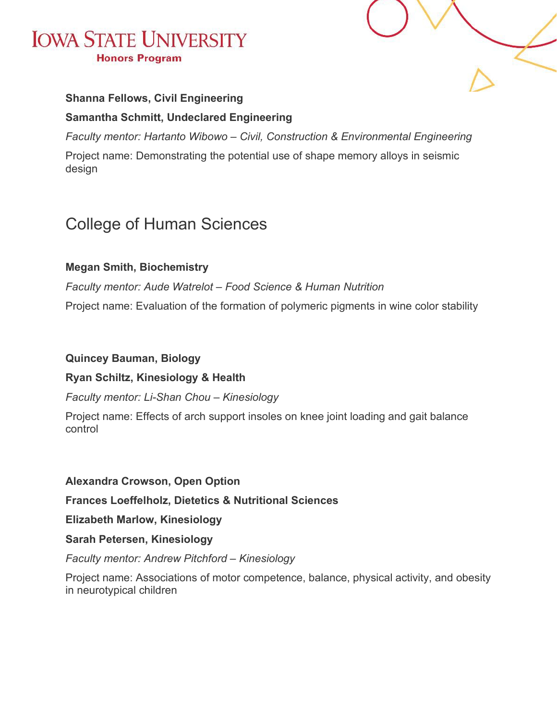

#### **Shanna Fellows, Civil Engineering**

#### **Samantha Schmitt, Undeclared Engineering**

*Faculty mentor: Hartanto Wibowo – Civil, Construction & Environmental Engineering*

Project name: Demonstrating the potential use of shape memory alloys in seismic design

### College of Human Sciences

#### **Megan Smith, Biochemistry**

*Faculty mentor: Aude Watrelot – Food Science & Human Nutrition* Project name: Evaluation of the formation of polymeric pigments in wine color stability

#### **Quincey Bauman, Biology**

#### **Ryan Schiltz, Kinesiology & Health**

*Faculty mentor: Li-Shan Chou – Kinesiology*

Project name: Effects of arch support insoles on knee joint loading and gait balance control

#### **Alexandra Crowson, Open Option**

**Frances Loeffelholz, Dietetics & Nutritional Sciences**

**Elizabeth Marlow, Kinesiology**

**Sarah Petersen, Kinesiology**

#### *Faculty mentor: Andrew Pitchford – Kinesiology*

Project name: Associations of motor competence, balance, physical activity, and obesity in neurotypical children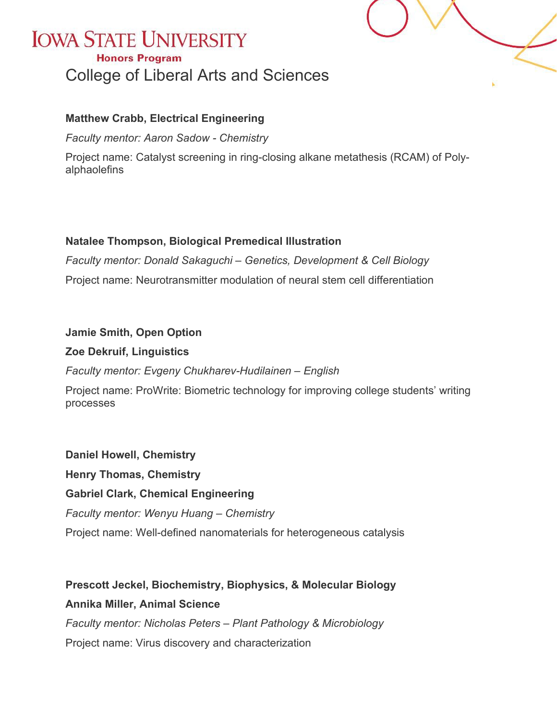### **IOWA STATE UNIVERSITY Honors Program** College of Liberal Arts and Sciences



#### **Matthew Crabb, Electrical Engineering**

*Faculty mentor: Aaron Sadow - Chemistry*

Project name: Catalyst screening in ring-closing alkane metathesis (RCAM) of Polyalphaolefins

#### **Natalee Thompson, Biological Premedical Illustration**

*Faculty mentor: Donald Sakaguchi – Genetics, Development & Cell Biology* Project name: Neurotransmitter modulation of neural stem cell differentiation

#### **Jamie Smith, Open Option**

#### **Zoe Dekruif, Linguistics**

*Faculty mentor: Evgeny Chukharev-Hudilainen – English*

Project name: ProWrite: Biometric technology for improving college students' writing processes

**Daniel Howell, Chemistry Henry Thomas, Chemistry Gabriel Clark, Chemical Engineering** *Faculty mentor: Wenyu Huang – Chemistry* Project name: Well-defined nanomaterials for heterogeneous catalysis

**Prescott Jeckel, Biochemistry, Biophysics, & Molecular Biology Annika Miller, Animal Science** *Faculty mentor: Nicholas Peters – Plant Pathology & Microbiology* Project name: Virus discovery and characterization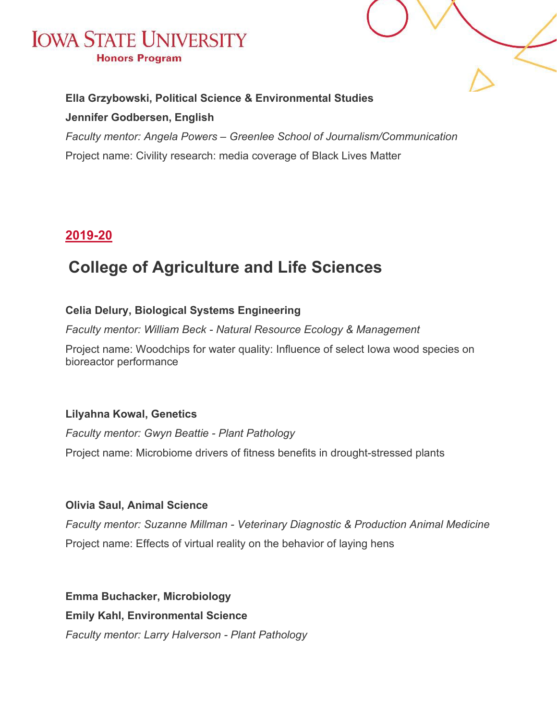



#### **Ella Grzybowski, Political Science & Environmental Studies**

#### **Jennifer Godbersen, English**

*Faculty mentor: Angela Powers – Greenlee School of Journalism/Communication* Project name: Civility research: media coverage of Black Lives Matter

#### <span id="page-16-0"></span>**2019-20**

### **College of Agriculture and Life Sciences**

#### **Celia Delury, Biological Systems Engineering**

*Faculty mentor: William Beck - Natural Resource Ecology & Management*

Project name: Woodchips for water quality: Influence of select Iowa wood species on bioreactor performance

#### **Lilyahna Kowal, Genetics**

*Faculty mentor: Gwyn Beattie - Plant Pathology* Project name: Microbiome drivers of fitness benefits in drought-stressed plants

#### **Olivia Saul, Animal Science**

*Faculty mentor: Suzanne Millman - Veterinary Diagnostic & Production Animal Medicine* Project name: Effects of virtual reality on the behavior of laying hens

**Emma Buchacker, Microbiology Emily Kahl, Environmental Science**

*Faculty mentor: Larry Halverson - Plant Pathology*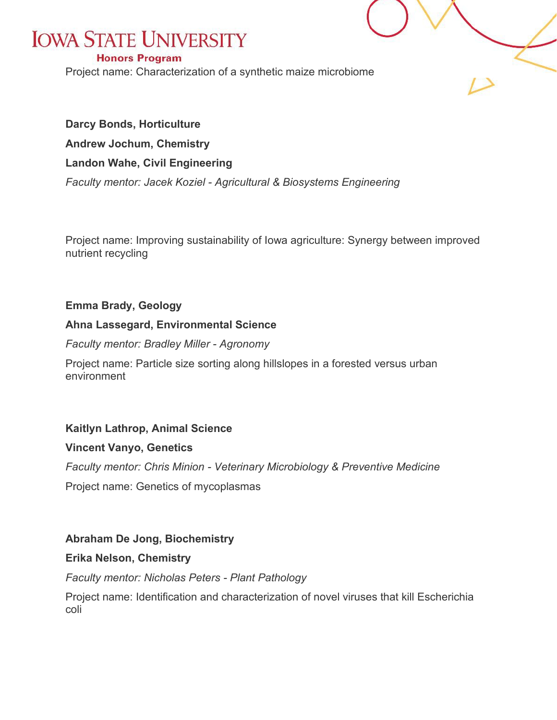#### **Honors Program**

Project name: Characterization of a synthetic maize microbiome

#### **Darcy Bonds, Horticulture**

**Andrew Jochum, Chemistry**

#### **Landon Wahe, Civil Engineering**

*Faculty mentor: Jacek Koziel - Agricultural & Biosystems Engineering*

Project name: Improving sustainability of Iowa agriculture: Synergy between improved nutrient recycling

#### **Emma Brady, Geology**

#### **Ahna Lassegard, Environmental Science**

*Faculty mentor: Bradley Miller - Agronomy*

Project name: Particle size sorting along hillslopes in a forested versus urban environment

#### **Kaitlyn Lathrop, Animal Science**

#### **Vincent Vanyo, Genetics**

*Faculty mentor: Chris Minion - Veterinary Microbiology & Preventive Medicine*

Project name: Genetics of mycoplasmas

#### **Abraham De Jong, Biochemistry**

#### **Erika Nelson, Chemistry**

*Faculty mentor: Nicholas Peters - Plant Pathology*

Project name: Identification and characterization of novel viruses that kill Escherichia coli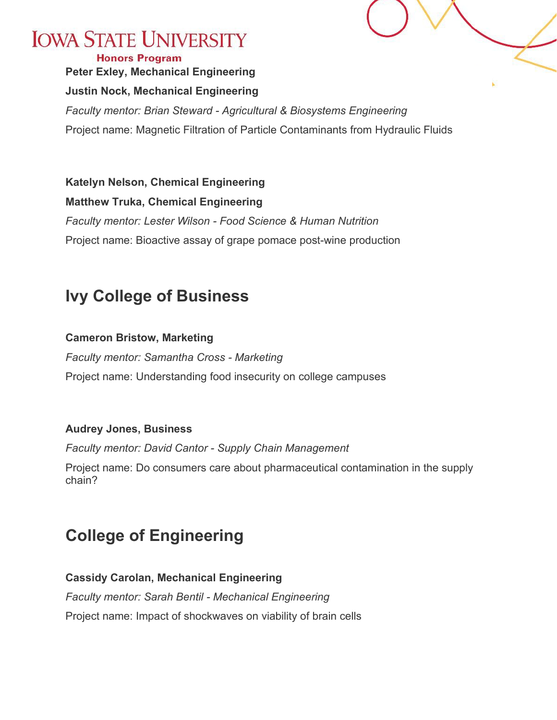### **Peter Exley, Mechanical Engineering Justin Nock, Mechanical Engineering** *Faculty mentor: Brian Steward - Agricultural & Biosystems Engineering* Project name: Magnetic Filtration of Particle Contaminants from Hydraulic Fluids

**Katelyn Nelson, Chemical Engineering Matthew Truka, Chemical Engineering** *Faculty mentor: Lester Wilson - Food Science & Human Nutrition* Project name: Bioactive assay of grape pomace post-wine production

## **Ivy College of Business**

#### **Cameron Bristow, Marketing**

*Faculty mentor: Samantha Cross - Marketing* Project name: Understanding food insecurity on college campuses

#### **Audrey Jones, Business**

*Faculty mentor: David Cantor - Supply Chain Management*

Project name: Do consumers care about pharmaceutical contamination in the supply chain?

# **College of Engineering**

#### **Cassidy Carolan, Mechanical Engineering** *Faculty mentor: Sarah Bentil - Mechanical Engineering* Project name: Impact of shockwaves on viability of brain cells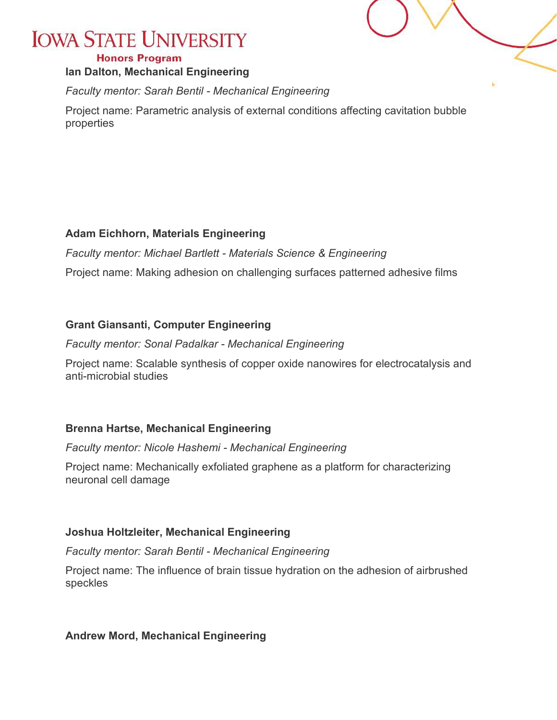#### **Honors Program**

#### **Ian Dalton, Mechanical Engineering**

*Faculty mentor: Sarah Bentil - Mechanical Engineering*

Project name: Parametric analysis of external conditions affecting cavitation bubble properties

#### **Adam Eichhorn, Materials Engineering**

*Faculty mentor: Michael Bartlett - Materials Science & Engineering*

Project name: Making adhesion on challenging surfaces patterned adhesive films

#### **Grant Giansanti, Computer Engineering**

*Faculty mentor: Sonal Padalkar - Mechanical Engineering*

Project name: Scalable synthesis of copper oxide nanowires for electrocatalysis and anti-microbial studies

#### **Brenna Hartse, Mechanical Engineering**

*Faculty mentor: Nicole Hashemi - Mechanical Engineering*

Project name: Mechanically exfoliated graphene as a platform for characterizing neuronal cell damage

#### **Joshua Holtzleiter, Mechanical Engineering**

*Faculty mentor: Sarah Bentil - Mechanical Engineering*

Project name: The influence of brain tissue hydration on the adhesion of airbrushed speckles

#### **Andrew Mord, Mechanical Engineering**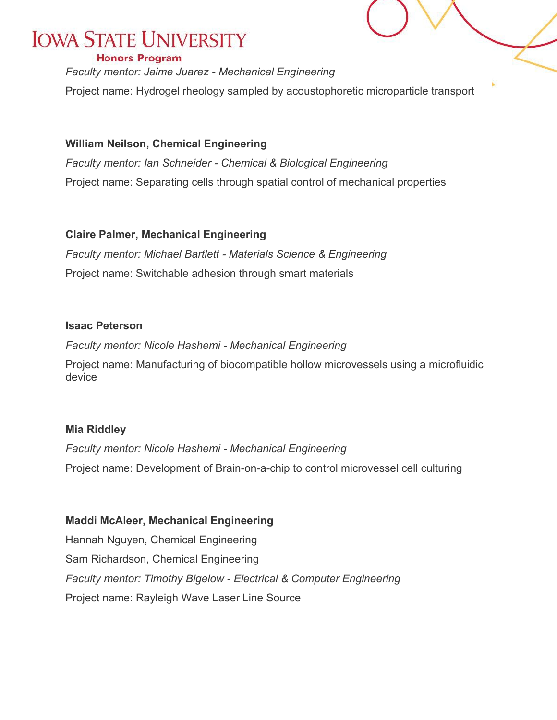#### **Honors Program**

*Faculty mentor: Jaime Juarez - Mechanical Engineering* Project name: Hydrogel rheology sampled by acoustophoretic microparticle transport

#### **William Neilson, Chemical Engineering**

*Faculty mentor: Ian Schneider - Chemical & Biological Engineering* Project name: Separating cells through spatial control of mechanical properties

#### **Claire Palmer, Mechanical Engineering**

*Faculty mentor: Michael Bartlett - Materials Science & Engineering* Project name: Switchable adhesion through smart materials

#### **Isaac Peterson**

*Faculty mentor: Nicole Hashemi - Mechanical Engineering*

Project name: Manufacturing of biocompatible hollow microvessels using a microfluidic device

#### **Mia Riddley**

*Faculty mentor: Nicole Hashemi - Mechanical Engineering* Project name: Development of Brain-on-a-chip to control microvessel cell culturing

**Maddi McAleer, Mechanical Engineering** Hannah Nguyen, Chemical Engineering Sam Richardson, Chemical Engineering *Faculty mentor: Timothy Bigelow - Electrical & Computer Engineering* Project name: Rayleigh Wave Laser Line Source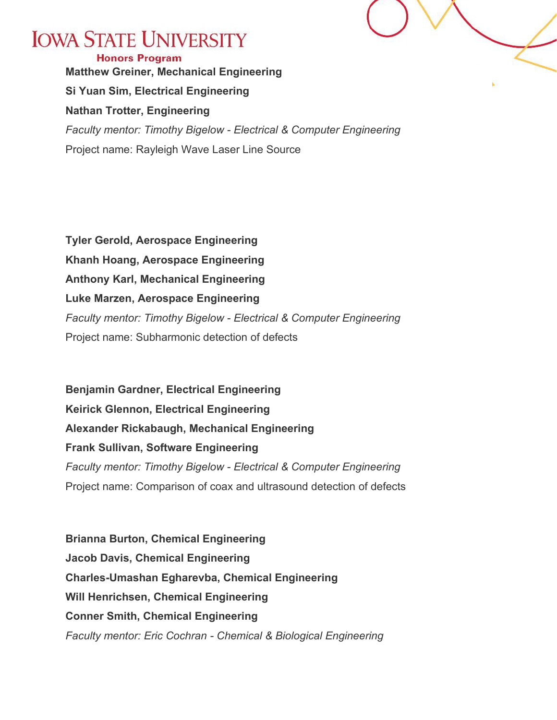

**Honors Program Matthew Greiner, Mechanical Engineering Si Yuan Sim, Electrical Engineering Nathan Trotter, Engineering** *Faculty mentor: Timothy Bigelow - Electrical & Computer Engineering* Project name: Rayleigh Wave Laser Line Source

**Tyler Gerold, Aerospace Engineering Khanh Hoang, Aerospace Engineering Anthony Karl, Mechanical Engineering Luke Marzen, Aerospace Engineering** *Faculty mentor: Timothy Bigelow - Electrical & Computer Engineering* Project name: Subharmonic detection of defects

**Benjamin Gardner, Electrical Engineering Keirick Glennon, Electrical Engineering Alexander Rickabaugh, Mechanical Engineering Frank Sullivan, Software Engineering** *Faculty mentor: Timothy Bigelow - Electrical & Computer Engineering* Project name: Comparison of coax and ultrasound detection of defects

**Brianna Burton, Chemical Engineering Jacob Davis, Chemical Engineering Charles-Umashan Egharevba, Chemical Engineering Will Henrichsen, Chemical Engineering Conner Smith, Chemical Engineering** *Faculty mentor: Eric Cochran - Chemical & Biological Engineering*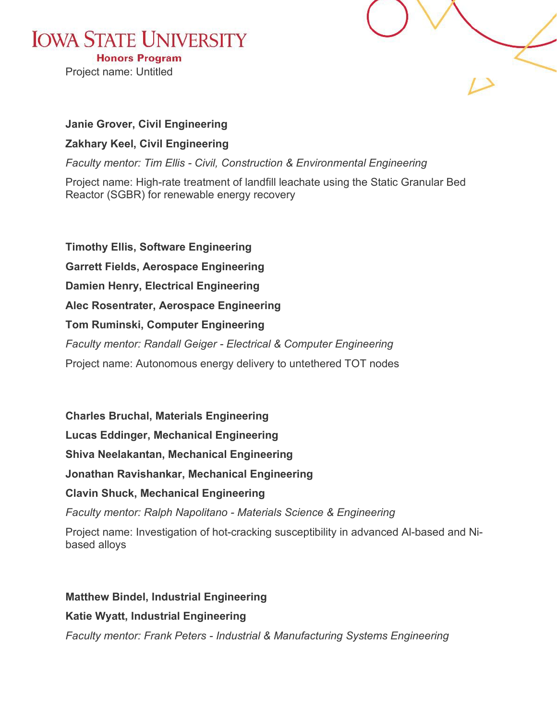**Honors Program** Project name: Untitled



#### **Janie Grover, Civil Engineering**

#### **Zakhary Keel, Civil Engineering**

*Faculty mentor: Tim Ellis - Civil, Construction & Environmental Engineering*

Project name: High-rate treatment of landfill leachate using the Static Granular Bed Reactor (SGBR) for renewable energy recovery

**Timothy Ellis, Software Engineering Garrett Fields, Aerospace Engineering Damien Henry, Electrical Engineering Alec Rosentrater, Aerospace Engineering Tom Ruminski, Computer Engineering** *Faculty mentor: Randall Geiger - Electrical & Computer Engineering* Project name: Autonomous energy delivery to untethered TOT nodes

**Charles Bruchal, Materials Engineering**

**Lucas Eddinger, Mechanical Engineering**

**Shiva Neelakantan, Mechanical Engineering**

**Jonathan Ravishankar, Mechanical Engineering**

#### **Clavin Shuck, Mechanical Engineering**

*Faculty mentor: Ralph Napolitano - Materials Science & Engineering*

Project name: Investigation of hot-cracking susceptibility in advanced Al-based and Nibased alloys

**Matthew Bindel, Industrial Engineering**

#### **Katie Wyatt, Industrial Engineering**

*Faculty mentor: Frank Peters - Industrial & Manufacturing Systems Engineering*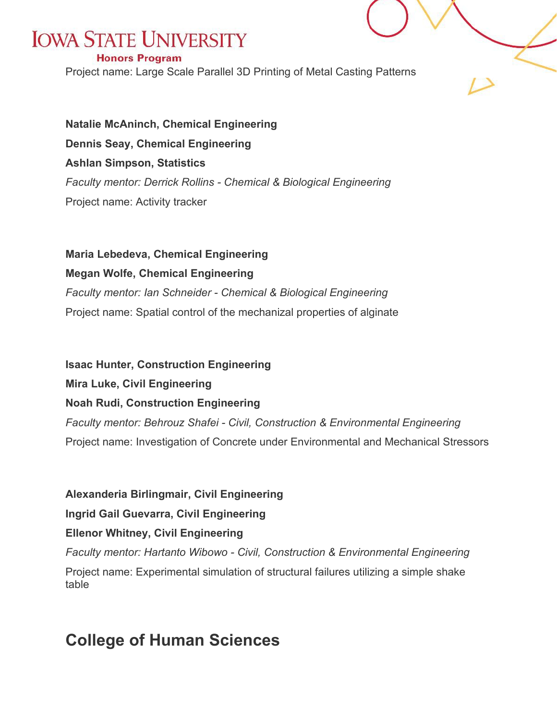#### **Honors Program**

Project name: Large Scale Parallel 3D Printing of Metal Casting Patterns

**Natalie McAninch, Chemical Engineering Dennis Seay, Chemical Engineering Ashlan Simpson, Statistics** *Faculty mentor: Derrick Rollins - Chemical & Biological Engineering* Project name: Activity tracker

#### **Maria Lebedeva, Chemical Engineering**

#### **Megan Wolfe, Chemical Engineering**

*Faculty mentor: Ian Schneider - Chemical & Biological Engineering* Project name: Spatial control of the mechanizal properties of alginate

**Isaac Hunter, Construction Engineering**

**Mira Luke, Civil Engineering**

**Noah Rudi, Construction Engineering**

*Faculty mentor: Behrouz Shafei - Civil, Construction & Environmental Engineering* Project name: Investigation of Concrete under Environmental and Mechanical Stressors

**Alexanderia Birlingmair, Civil Engineering**

**Ingrid Gail Guevarra, Civil Engineering**

#### **Ellenor Whitney, Civil Engineering**

*Faculty mentor: Hartanto Wibowo - Civil, Construction & Environmental Engineering* Project name: Experimental simulation of structural failures utilizing a simple shake table

### **College of Human Sciences**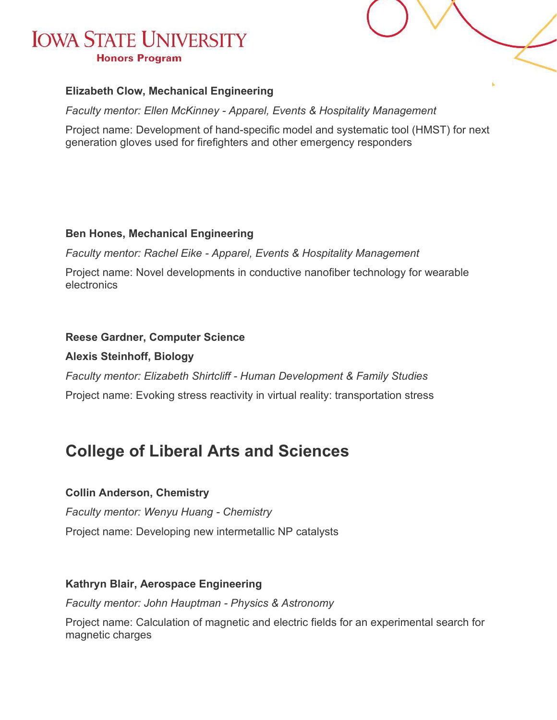

*Faculty mentor: Ellen McKinney - Apparel, Events & Hospitality Management*

Project name: Development of hand-specific model and systematic tool (HMST) for next generation gloves used for firefighters and other emergency responders

#### **Ben Hones, Mechanical Engineering**

*Faculty mentor: Rachel Eike - Apparel, Events & Hospitality Management*

Project name: Novel developments in conductive nanofiber technology for wearable electronics

#### **Reese Gardner, Computer Science**

#### **Alexis Steinhoff, Biology**

*Faculty mentor: Elizabeth Shirtcliff - Human Development & Family Studies* Project name: Evoking stress reactivity in virtual reality: transportation stress

### **College of Liberal Arts and Sciences**

#### **Collin Anderson, Chemistry**

*Faculty mentor: Wenyu Huang - Chemistry* Project name: Developing new intermetallic NP catalysts

#### **Kathryn Blair, Aerospace Engineering**

*Faculty mentor: John Hauptman - Physics & Astronomy*

Project name: Calculation of magnetic and electric fields for an experimental search for magnetic charges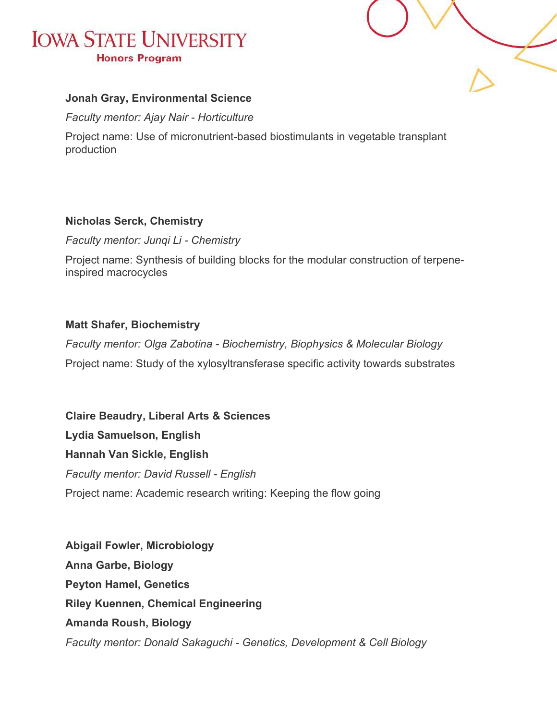

#### **Jonah Gray, Environmental Science**

*Faculty mentor: Ajay Nair - Horticulture*

Project name: Use of micronutrient-based biostimulants in vegetable transplant production

#### **Nicholas Serck, Chemistry**

*Faculty mentor: Junqi Li - Chemistry*

Project name: Synthesis of building blocks for the modular construction of terpeneinspired macrocycles

#### **Matt Shafer, Biochemistry**

*Faculty mentor: Olga Zabotina - Biochemistry, Biophysics & Molecular Biology* Project name: Study of the xylosyltransferase specific activity towards substrates

**Claire Beaudry, Liberal Arts & Sciences Lydia Samuelson, English Hannah Van Sickle, English** *Faculty mentor: David Russell - English* Project name: Academic research writing: Keeping the flow going

**Abigail Fowler, Microbiology Anna Garbe, Biology Peyton Hamel, Genetics Riley Kuennen, Chemical Engineering Amanda Roush, Biology** *Faculty mentor: Donald Sakaguchi - Genetics, Development & Cell Biology*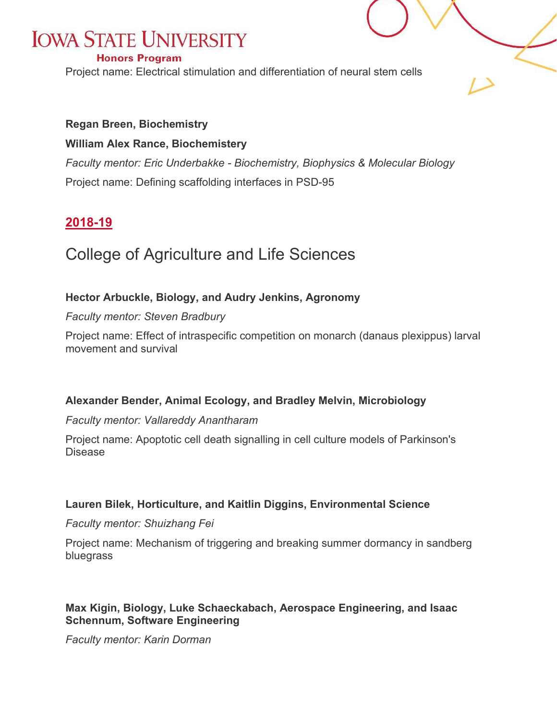#### **Honors Program**

Project name: Electrical stimulation and differentiation of neural stem cells

#### **Regan Breen, Biochemistry**

#### **William Alex Rance, Biochemistery**

*Faculty mentor: Eric Underbakke - Biochemistry, Biophysics & Molecular Biology* Project name: Defining scaffolding interfaces in PSD-95

#### <span id="page-26-0"></span>**2018-19**

### College of Agriculture and Life Sciences

#### **Hector Arbuckle, Biology, and Audry Jenkins, Agronomy**

#### *Faculty mentor: Steven Bradbury*

Project name: Effect of intraspecific competition on monarch (danaus plexippus) larval movement and survival

#### **Alexander Bender, Animal Ecology, and Bradley Melvin, Microbiology**

#### *Faculty mentor: Vallareddy Anantharam*

Project name: Apoptotic cell death signalling in cell culture models of Parkinson's Disease

#### **Lauren Bilek, Horticulture, and Kaitlin Diggins, Environmental Science**

#### *Faculty mentor: Shuizhang Fei*

Project name: Mechanism of triggering and breaking summer dormancy in sandberg bluegrass

#### **Max Kigin, Biology, Luke Schaeckabach, Aerospace Engineering, and Isaac Schennum, Software Engineering**

*Faculty mentor: Karin Dorman*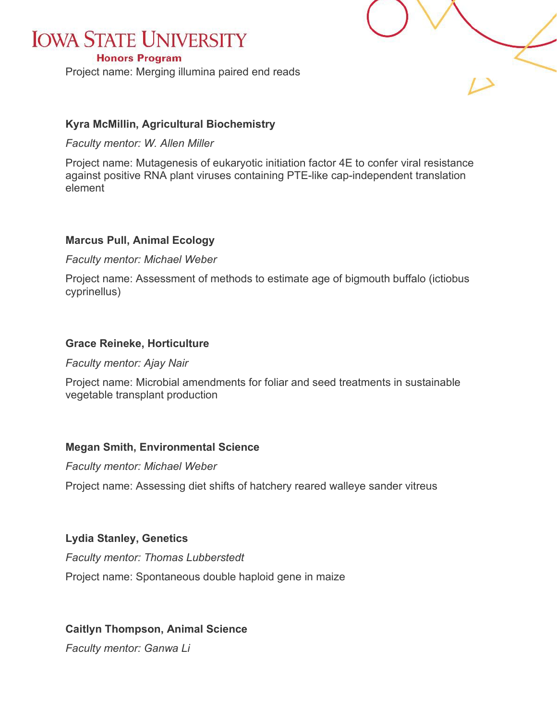#### **Honors Program**

Project name: Merging illumina paired end reads



#### **Kyra McMillin, Agricultural Biochemistry**

*Faculty mentor: W. Allen Miller*

Project name: Mutagenesis of eukaryotic initiation factor 4E to confer viral resistance against positive RNA plant viruses containing PTE-like cap-independent translation element

#### **Marcus Pull, Animal Ecology**

*Faculty mentor: Michael Weber*

Project name: Assessment of methods to estimate age of bigmouth buffalo (ictiobus cyprinellus)

#### **Grace Reineke, Horticulture**

*Faculty mentor: Ajay Nair*

Project name: Microbial amendments for foliar and seed treatments in sustainable vegetable transplant production

#### **Megan Smith, Environmental Science**

*Faculty mentor: Michael Weber*

Project name: Assessing diet shifts of hatchery reared walleye sander vitreus

#### **Lydia Stanley, Genetics**

*Faculty mentor: Thomas Lubberstedt* Project name: Spontaneous double haploid gene in maize

#### **Caitlyn Thompson, Animal Science**

*Faculty mentor: Ganwa Li*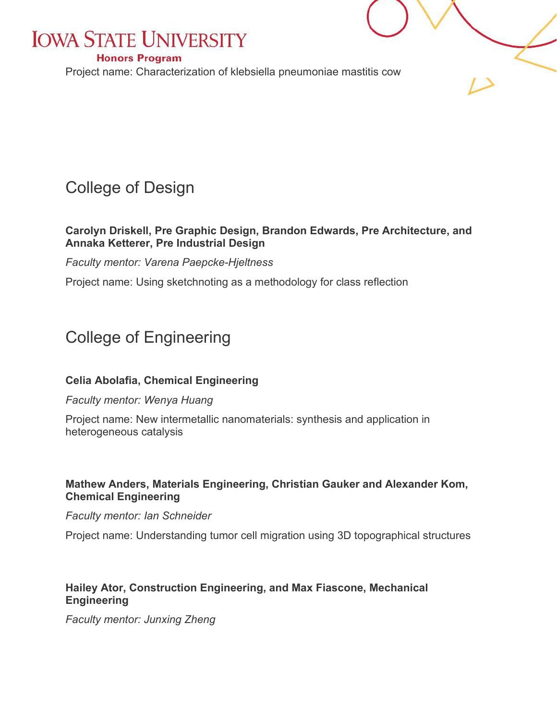#### **Honors Program**

Project name: Characterization of klebsiella pneumoniae mastitis cow

### College of Design

#### **Carolyn Driskell, Pre Graphic Design, Brandon Edwards, Pre Architecture, and Annaka Ketterer, Pre Industrial Design**

*Faculty mentor: Varena Paepcke-Hjeltness*

Project name: Using sketchnoting as a methodology for class reflection

### College of Engineering

#### **Celia Abolafia, Chemical Engineering**

#### *Faculty mentor: Wenya Huang*

Project name: New intermetallic nanomaterials: synthesis and application in heterogeneous catalysis

#### **Mathew Anders, Materials Engineering, Christian Gauker and Alexander Kom, Chemical Engineering**

#### *Faculty mentor: Ian Schneider*

Project name: Understanding tumor cell migration using 3D topographical structures

#### **Hailey Ator, Construction Engineering, and Max Fiascone, Mechanical Engineering**

*Faculty mentor: Junxing Zheng*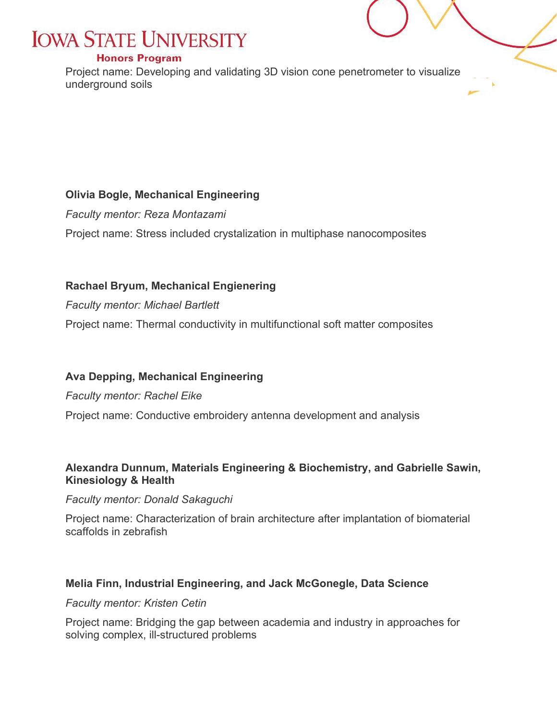#### **Honors Program**

Project name: Developing and validating 3D vision cone penetrometer to visualize underground soils

#### **Olivia Bogle, Mechanical Engineering**

*Faculty mentor: Reza Montazami*

Project name: Stress included crystalization in multiphase nanocomposites

#### **Rachael Bryum, Mechanical Engienering**

*Faculty mentor: Michael Bartlett*

Project name: Thermal conductivity in multifunctional soft matter composites

#### **Ava Depping, Mechanical Engineering**

*Faculty mentor: Rachel Eike*

Project name: Conductive embroidery antenna development and analysis

#### **Alexandra Dunnum, Materials Engineering & Biochemistry, and Gabrielle Sawin, Kinesiology & Health**

*Faculty mentor: Donald Sakaguchi*

Project name: Characterization of brain architecture after implantation of biomaterial scaffolds in zebrafish

#### **Melia Finn, Industrial Engineering, and Jack McGonegle, Data Science**

*Faculty mentor: Kristen Cetin*

Project name: Bridging the gap between academia and industry in approaches for solving complex, ill-structured problems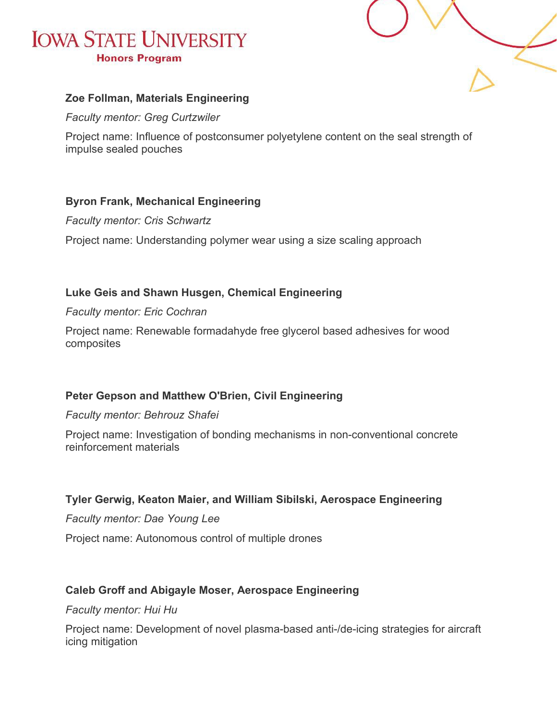

#### **Zoe Follman, Materials Engineering**

*Faculty mentor: Greg Curtzwiler*

Project name: Influence of postconsumer polyetylene content on the seal strength of impulse sealed pouches

#### **Byron Frank, Mechanical Engineering**

*Faculty mentor: Cris Schwartz*

Project name: Understanding polymer wear using a size scaling approach

#### **Luke Geis and Shawn Husgen, Chemical Engineering**

#### *Faculty mentor: Eric Cochran*

Project name: Renewable formadahyde free glycerol based adhesives for wood composites

#### **Peter Gepson and Matthew O'Brien, Civil Engineering**

#### *Faculty mentor: Behrouz Shafei*

Project name: Investigation of bonding mechanisms in non-conventional concrete reinforcement materials

#### **Tyler Gerwig, Keaton Maier, and William Sibilski, Aerospace Engineering**

*Faculty mentor: Dae Young Lee*

Project name: Autonomous control of multiple drones

#### **Caleb Groff and Abigayle Moser, Aerospace Engineering**

#### *Faculty mentor: Hui Hu*

Project name: Development of novel plasma-based anti-/de-icing strategies for aircraft icing mitigation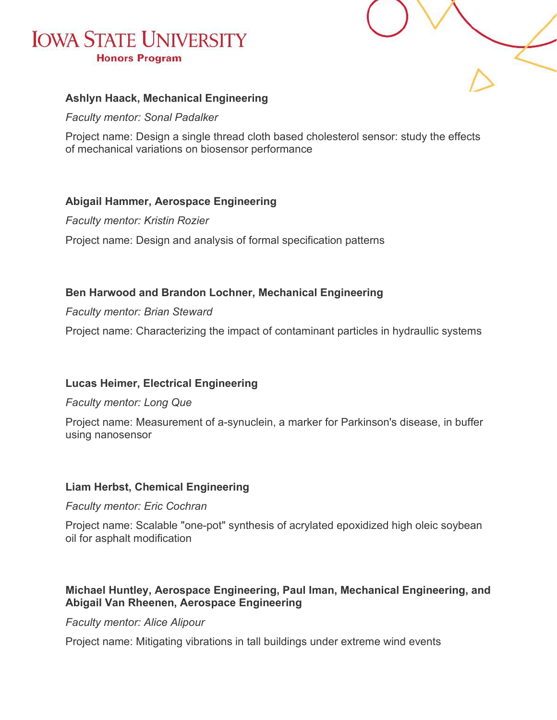

#### **Ashlyn Haack, Mechanical Engineering**

*Faculty mentor: Sonal Padalker*

Project name: Design a single thread cloth based cholesterol sensor: study the effects of mechanical variations on biosensor performance

#### **Abigail Hammer, Aerospace Engineering**

*Faculty mentor: Kristin Rozier*

Project name: Design and analysis of formal specification patterns

#### **Ben Harwood and Brandon Lochner, Mechanical Engineering**

*Faculty mentor: Brian Steward*

Project name: Characterizing the impact of contaminant particles in hydraullic systems

#### **Lucas Heimer, Electrical Engineering**

#### *Faculty mentor: Long Que*

Project name: Measurement of a-synuclein, a marker for Parkinson's disease, in buffer using nanosensor

#### **Liam Herbst, Chemical Engineering**

#### *Faculty mentor: Eric Cochran*

Project name: Scalable "one-pot" synthesis of acrylated epoxidized high oleic soybean oil for asphalt modification

#### **Michael Huntley, Aerospace Engineering, Paul Iman, Mechanical Engineering, and Abigail Van Rheenen, Aerospace Engineering**

*Faculty mentor: Alice Alipour*

Project name: Mitigating vibrations in tall buildings under extreme wind events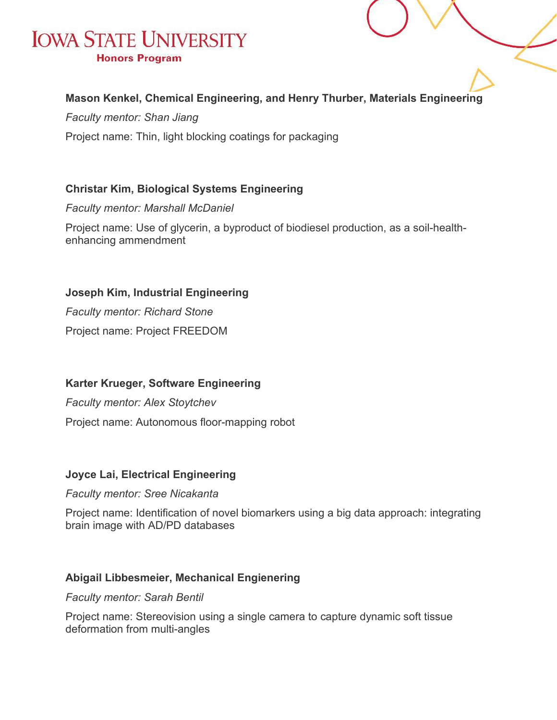#### **Mason Kenkel, Chemical Engineering, and Henry Thurber, Materials Engineering**

*Faculty mentor: Shan Jiang*

Project name: Thin, light blocking coatings for packaging

#### **Christar Kim, Biological Systems Engineering**

*Faculty mentor: Marshall McDaniel*

Project name: Use of glycerin, a byproduct of biodiesel production, as a soil-healthenhancing ammendment

**Joseph Kim, Industrial Engineering**

*Faculty mentor: Richard Stone* Project name: Project FREEDOM

#### **Karter Krueger, Software Engineering**

*Faculty mentor: Alex Stoytchev* Project name: Autonomous floor-mapping robot

#### **Joyce Lai, Electrical Engineering**

#### *Faculty mentor: Sree Nicakanta*

Project name: Identification of novel biomarkers using a big data approach: integrating brain image with AD/PD databases

#### **Abigail Libbesmeier, Mechanical Engienering**

*Faculty mentor: Sarah Bentil*

Project name: Stereovision using a single camera to capture dynamic soft tissue deformation from multi-angles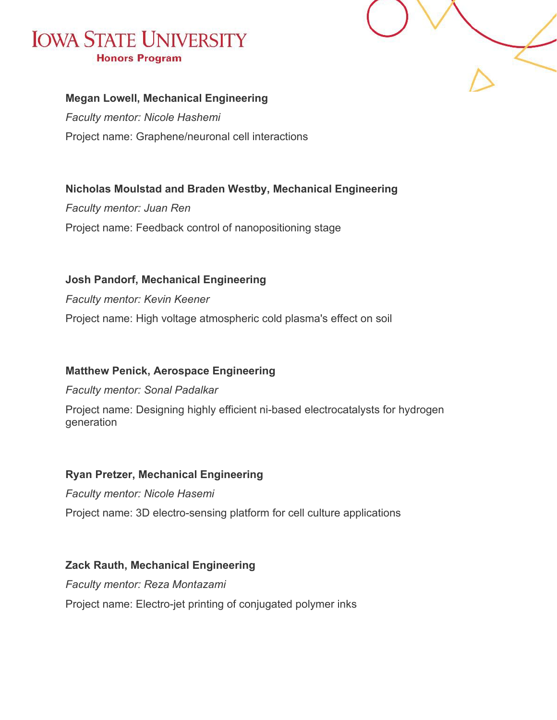

#### **Megan Lowell, Mechanical Engineering**

*Faculty mentor: Nicole Hashemi* Project name: Graphene/neuronal cell interactions

#### **Nicholas Moulstad and Braden Westby, Mechanical Engineering**

*Faculty mentor: Juan Ren* Project name: Feedback control of nanopositioning stage

**Josh Pandorf, Mechanical Engineering** *Faculty mentor: Kevin Keener*

Project name: High voltage atmospheric cold plasma's effect on soil

#### **Matthew Penick, Aerospace Engineering**

*Faculty mentor: Sonal Padalkar*

Project name: Designing highly efficient ni-based electrocatalysts for hydrogen generation

#### **Ryan Pretzer, Mechanical Engineering**

*Faculty mentor: Nicole Hasemi* Project name: 3D electro-sensing platform for cell culture applications

#### **Zack Rauth, Mechanical Engineering**

*Faculty mentor: Reza Montazami* Project name: Electro-jet printing of conjugated polymer inks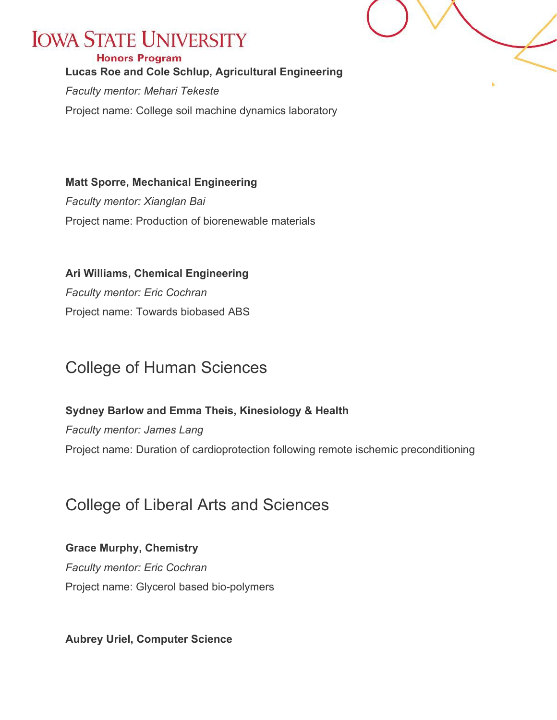#### **Honors Program**

**Lucas Roe and Cole Schlup, Agricultural Engineering**

*Faculty mentor: Mehari Tekeste*

Project name: College soil machine dynamics laboratory

**Matt Sporre, Mechanical Engineering** *Faculty mentor: Xianglan Bai* Project name: Production of biorenewable materials

**Ari Williams, Chemical Engineering** *Faculty mentor: Eric Cochran* Project name: Towards biobased ABS

### College of Human Sciences

**Sydney Barlow and Emma Theis, Kinesiology & Health** *Faculty mentor: James Lang*

Project name: Duration of cardioprotection following remote ischemic preconditioning

### College of Liberal Arts and Sciences

#### **Grace Murphy, Chemistry**

*Faculty mentor: Eric Cochran* Project name: Glycerol based bio-polymers

**Aubrey Uriel, Computer Science**